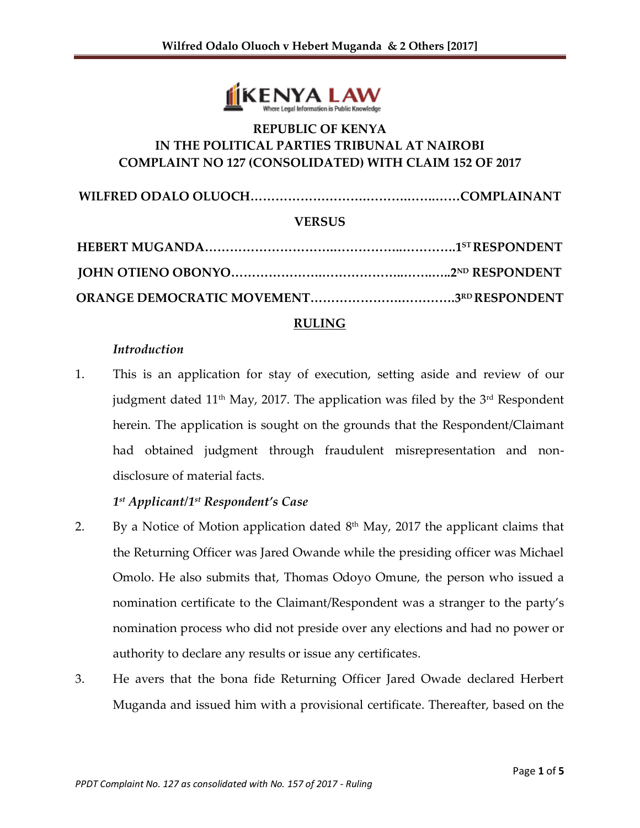

# **REPUBLIC OF KENYA IN THE POLITICAL PARTIES TRIBUNAL AT NAIROBI COMPLAINT NO 127 (CONSOLIDATED) WITH CLAIM 152 OF 2017**

**WILFRED ODALO OLUOCH……………………….……….…….……COMPLAINANT**

#### **VERSUS**

#### **RULING**

#### *Introduction*

1. This is an application for stay of execution, setting aside and review of our judgment dated 11<sup>th</sup> May, 2017. The application was filed by the 3<sup>rd</sup> Respondent herein. The application is sought on the grounds that the Respondent/Claimant had obtained judgment through fraudulent misrepresentation and nondisclosure of material facts.

### *1 st Applicant/1 st Respondent's Case*

- 2. By a Notice of Motion application dated  $8<sup>th</sup>$  May, 2017 the applicant claims that the Returning Officer was Jared Owande while the presiding officer was Michael Omolo. He also submits that, Thomas Odoyo Omune, the person who issued a nomination certificate to the Claimant/Respondent was a stranger to the party's nomination process who did not preside over any elections and had no power or authority to declare any results or issue any certificates.
- 3. He avers that the bona fide Returning Officer Jared Owade declared Herbert Muganda and issued him with a provisional certificate. Thereafter, based on the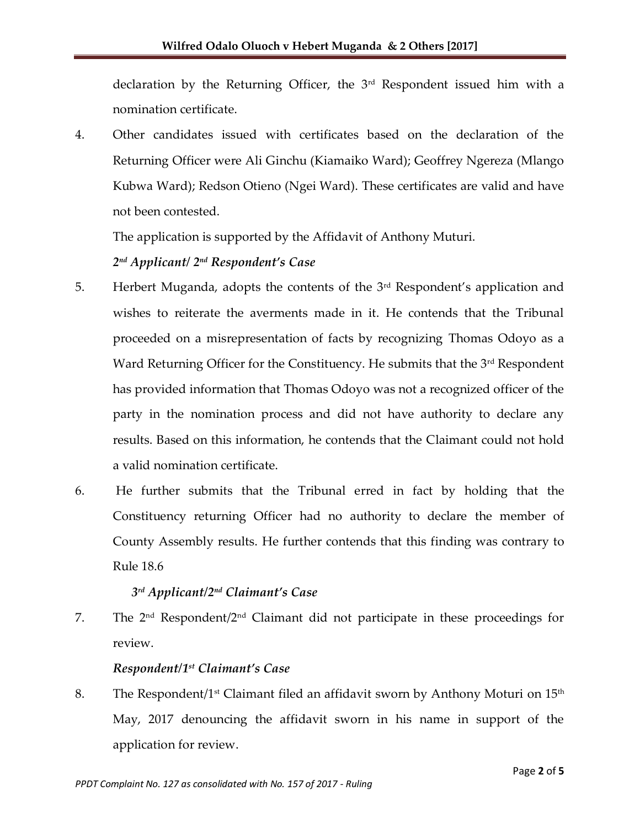declaration by the Returning Officer, the 3rd Respondent issued him with a nomination certificate.

4. Other candidates issued with certificates based on the declaration of the Returning Officer were Ali Ginchu (Kiamaiko Ward); Geoffrey Ngereza (Mlango Kubwa Ward); Redson Otieno (Ngei Ward). These certificates are valid and have not been contested.

The application is supported by the Affidavit of Anthony Muturi.

## *2 nd Applicant/ 2 nd Respondent's Case*

- 5. Herbert Muganda, adopts the contents of the 3rd Respondent's application and wishes to reiterate the averments made in it. He contends that the Tribunal proceeded on a misrepresentation of facts by recognizing Thomas Odoyo as a Ward Returning Officer for the Constituency. He submits that the 3<sup>rd</sup> Respondent has provided information that Thomas Odoyo was not a recognized officer of the party in the nomination process and did not have authority to declare any results. Based on this information, he contends that the Claimant could not hold a valid nomination certificate.
- 6. He further submits that the Tribunal erred in fact by holding that the Constituency returning Officer had no authority to declare the member of County Assembly results. He further contends that this finding was contrary to Rule 18.6

## *3 rd Applicant/2nd Claimant's Case*

7. The  $2<sup>nd</sup>$  Respondent/ $2<sup>nd</sup>$  Claimant did not participate in these proceedings for review.

### *Respondent/1 st Claimant's Case*

8.  $\;$  The Respondent/1st Claimant filed an affidavit sworn by Anthony Moturi on 15th May, 2017 denouncing the affidavit sworn in his name in support of the application for review.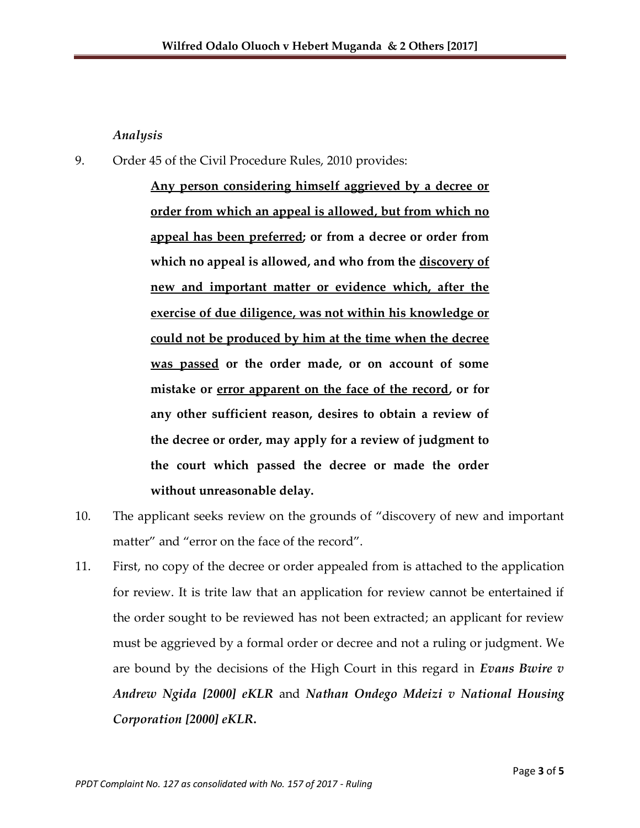#### *Analysis*

9. Order 45 of the Civil Procedure Rules, 2010 provides:

**Any person considering himself aggrieved by a decree or order from which an appeal is allowed, but from which no appeal has been preferred; or from a decree or order from which no appeal is allowed, and who from the discovery of new and important matter or evidence which, after the exercise of due diligence, was not within his knowledge or could not be produced by him at the time when the decree was passed or the order made, or on account of some mistake or error apparent on the face of the record, or for any other sufficient reason, desires to obtain a review of the decree or order, may apply for a review of judgment to the court which passed the decree or made the order without unreasonable delay.** 

- 10. The applicant seeks review on the grounds of "discovery of new and important matter" and "error on the face of the record".
- 11. First, no copy of the decree or order appealed from is attached to the application for review. It is trite law that an application for review cannot be entertained if the order sought to be reviewed has not been extracted; an applicant for review must be aggrieved by a formal order or decree and not a ruling or judgment. We are bound by the decisions of the High Court in this regard in *Evans Bwire v Andrew Ngida [2000] eKLR* and *Nathan Ondego Mdeizi v National Housing Corporation [2000] eKLR***.**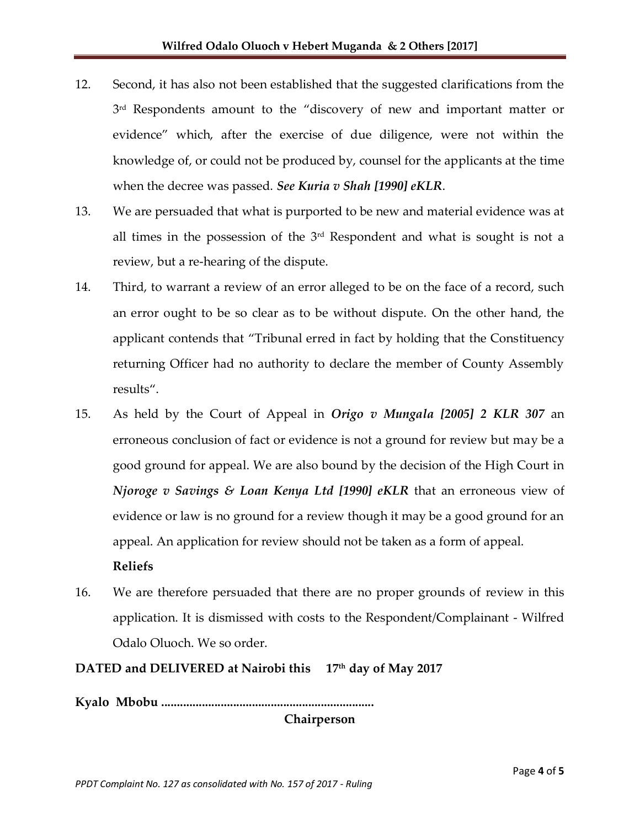- 12. Second, it has also not been established that the suggested clarifications from the 3<sup>rd</sup> Respondents amount to the "discovery of new and important matter or evidence" which, after the exercise of due diligence, were not within the knowledge of, or could not be produced by, counsel for the applicants at the time when the decree was passed. *See Kuria v Shah [1990] eKLR*.
- 13. We are persuaded that what is purported to be new and material evidence was at all times in the possession of the  $3<sup>rd</sup>$  Respondent and what is sought is not a review, but a re-hearing of the dispute.
- 14. Third, to warrant a review of an error alleged to be on the face of a record, such an error ought to be so clear as to be without dispute. On the other hand, the applicant contends that "Tribunal erred in fact by holding that the Constituency returning Officer had no authority to declare the member of County Assembly results".
- 15. As held by the Court of Appeal in *Origo v Mungala [2005] 2 KLR 307* an erroneous conclusion of fact or evidence is not a ground for review but may be a good ground for appeal. We are also bound by the decision of the High Court in *Njoroge v Savings & Loan Kenya Ltd [1990] eKLR* that an erroneous view of evidence or law is no ground for a review though it may be a good ground for an appeal. An application for review should not be taken as a form of appeal.

### **Reliefs**

16. We are therefore persuaded that there are no proper grounds of review in this application. It is dismissed with costs to the Respondent/Complainant - Wilfred Odalo Oluoch. We so order.

## **DATED and DELIVERED at Nairobi this 17 th day of May 2017**

**Kyalo Mbobu ....................................................................**

**Chairperson**